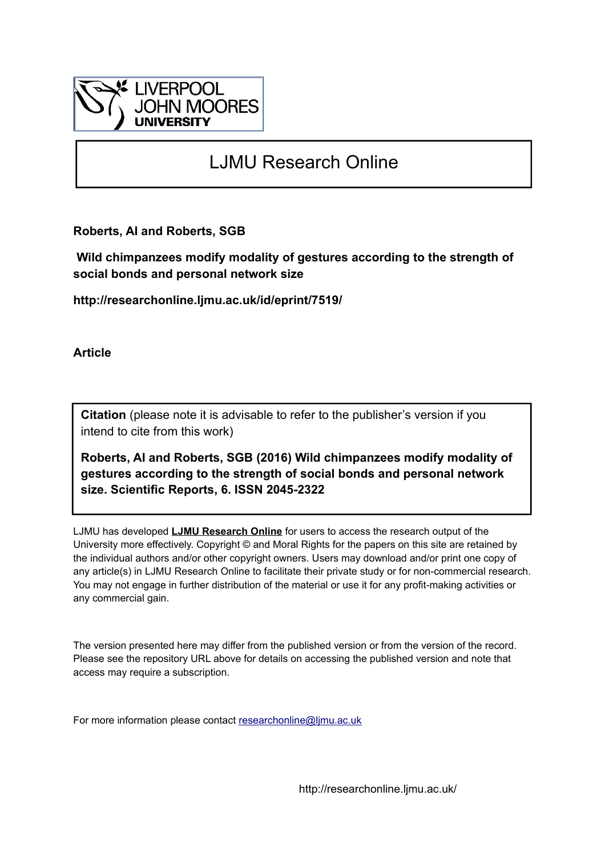

## LJMU Research Online

**Roberts, AI and Roberts, SGB**

 **Wild chimpanzees modify modality of gestures according to the strength of social bonds and personal network size**

**http://researchonline.ljmu.ac.uk/id/eprint/7519/**

**Article**

**Citation** (please note it is advisable to refer to the publisher's version if you intend to cite from this work)

**Roberts, AI and Roberts, SGB (2016) Wild chimpanzees modify modality of gestures according to the strength of social bonds and personal network size. Scientific Reports, 6. ISSN 2045-2322** 

LJMU has developed **[LJMU Research Online](http://researchonline.ljmu.ac.uk/)** for users to access the research output of the University more effectively. Copyright © and Moral Rights for the papers on this site are retained by the individual authors and/or other copyright owners. Users may download and/or print one copy of any article(s) in LJMU Research Online to facilitate their private study or for non-commercial research. You may not engage in further distribution of the material or use it for any profit-making activities or any commercial gain.

The version presented here may differ from the published version or from the version of the record. Please see the repository URL above for details on accessing the published version and note that access may require a subscription.

For more information please contact [researchonline@ljmu.ac.uk](mailto:researchonline@ljmu.ac.uk)

http://researchonline.ljmu.ac.uk/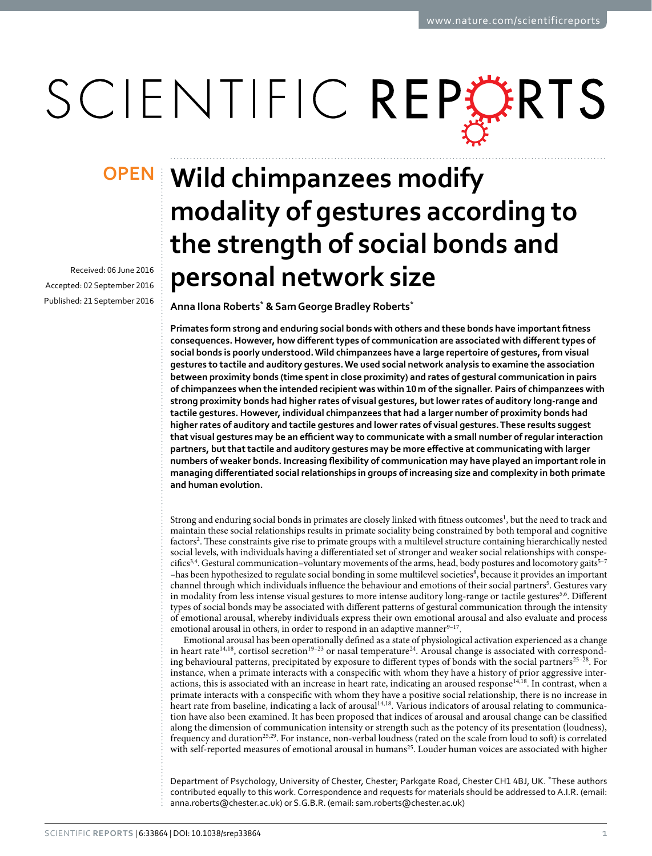# SCIENTIFIC REPERTS

Received: 06 June 2016 accepted: 02 September 2016 Published: 21 September 2016

## **Wild chimpanzees modify OPENmodality of gestures according to the strength of social bonds and personal network size**

**Anna Ilona Roberts\* & Sam George Bradley Roberts\***

**Primates form strong and enduring social bonds with others and these bonds have important fitness consequences. However, how different types of communication are associated with different types of social bonds is poorly understood. Wild chimpanzees have a large repertoire of gestures, from visual gestures to tactile and auditory gestures. We used social network analysis to examine the association between proximity bonds (time spent in close proximity) and rates of gestural communication in pairs of chimpanzees when the intended recipient was within 10m of the signaller. Pairs of chimpanzees with strong proximity bonds had higher rates of visual gestures, but lower rates of auditory long-range and tactile gestures. However, individual chimpanzees that had a larger number of proximity bonds had higher rates of auditory and tactile gestures and lower rates of visual gestures. These results suggest that visual gestures may be an efficient way to communicate with a small number of regular interaction partners, but that tactile and auditory gestures may be more effective at communicating with larger numbers of weaker bonds. Increasing flexibility of communication may have played an important role in managing differentiated social relationships in groups of increasing size and complexity in both primate and human evolution.**

Strong and enduring social bonds in primates are closely linked with fitness outcomes<sup>1</sup>, but the need to track and maintain these social relationships results in primate sociality being constrained by both temporal and cognitive factors<sup>[2](#page-9-1)</sup>. These constraints give rise to primate groups with a multilevel structure containing hierarchically nested social levels, with individuals having a differentiated set of stronger and weaker social relationships with conspe-cifics<sup>[3](#page-9-2),[4](#page-9-3)</sup>. Gestural communication–voluntary movements of the arms, head, body postures and locomotory gaits<sup>5-7</sup> -has been hypothesized to regulate social bonding in some multilevel societies<sup>8</sup>, because it provides an important channel through which individuals influence the behaviour and emotions of their social partners<sup>5</sup>. Gestures vary in modality from less intense visual gestures to more intense auditory long-range or tactile gestures<sup>5[,6](#page-10-2)</sup>. Different types of social bonds may be associated with different patterns of gestural communication through the intensity of emotional arousal, whereby individuals express their own emotional arousal and also evaluate and process emotional arousal in others, in order to respond in an adaptive manner $9-17$ .

Emotional arousal has been operationally defined as a state of physiological activation experienced as a change in heart rate<sup>[14](#page-10-4),18</sup>, cortisol secretion<sup>19-23</sup> or nasal temperature<sup>24</sup>. Arousal change is associated with corresponding behavioural patterns, precipitated by exposure to different types of bonds with the social partners<sup>25-28</sup>. For instance, when a primate interacts with a conspecific with whom they have a history of prior aggressive inter-actions, this is associated with an increase in heart rate, indicating an aroused response<sup>[14](#page-10-4),[18](#page-10-5)</sup>. In contrast, when a primate interacts with a conspecific with whom they have a positive social relationship, there is no increase in heart rate from baseline, indicating a lack of arousal<sup>[14](#page-10-4),18</sup>. Various indicators of arousal relating to communication have also been examined. It has been proposed that indices of arousal and arousal change can be classified along the dimension of communication intensity or strength such as the potency of its presentation (loudness), frequency and duration[25,](#page-10-8)[29](#page-10-9). For instance, non-verbal loudness (rated on the scale from loud to soft) is correlated with self-reported measures of emotional arousal in humans<sup>25</sup>. Louder human voices are associated with higher

Department of Psychology, University of Chester, Chester; Parkgate Road, Chester CH1 4BJ, UK. \*These authors contributed equally to this work. Correspondence and requests for materials should be addressed to A.I.R. (email: [anna.roberts@chester.ac.uk\)](mailto:anna.roberts@chester.ac.uk) or S.G.B.R. (email: [sam.roberts@chester.ac.uk](mailto:sam.roberts@chester.ac.uk))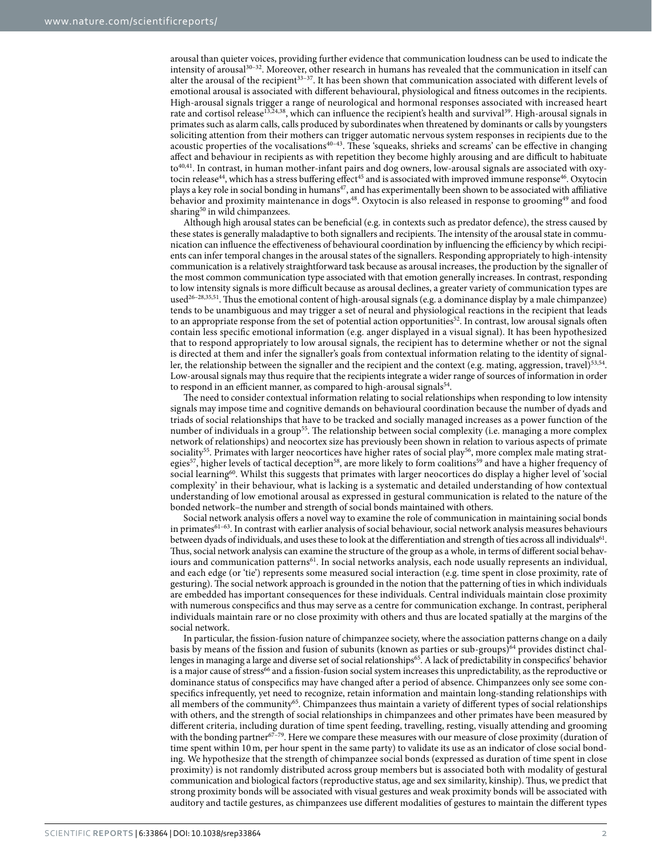arousal than quieter voices, providing further evidence that communication loudness can be used to indicate the intensity of arousal[30–32](#page-10-10). Moreover, other research in humans has revealed that the communication in itself can alter the arousal of the recipient<sup>33-37</sup>. It has been shown that communication associated with different levels of emotional arousal is associated with different behavioural, physiological and fitness outcomes in the recipients. High-arousal signals trigger a range of neurological and hormonal responses associated with increased heart rate and cortisol release<sup>13[,24](#page-10-7),38</sup>, which can influence the recipient's health and survival<sup>[39](#page-10-14)</sup>. High-arousal signals in primates such as alarm calls, calls produced by subordinates when threatened by dominants or calls by youngsters soliciting attention from their mothers can trigger automatic nervous system responses in recipients due to the acoustic properties of the vocalisations<sup>40-43</sup>. These 'squeaks, shrieks and screams' can be effective in changing affect and behaviour in recipients as with repetition they become highly arousing and are difficult to habituate to[40,](#page-10-15)[41.](#page-10-16) In contrast, in human mother-infant pairs and dog owners, low-arousal signals are associated with oxy-tocin release<sup>[44](#page-10-17)</sup>, which has a stress buffering effect<sup>[45](#page-10-18)</sup> and is associated with improved immune response<sup>46</sup>. Oxytocin plays a key role in social bonding in humans<sup>[47](#page-10-20)</sup>, and has experimentally been shown to be associated with affiliative behavior and proximity maintenance in dogs<sup>[48](#page-10-21)</sup>. Oxytocin is also released in response to grooming<sup>49</sup> and food sharing<sup>50</sup> in wild chimpanzees.

Although high arousal states can be beneficial (e.g. in contexts such as predator defence), the stress caused by these states is generally maladaptive to both signallers and recipients. The intensity of the arousal state in communication can influence the effectiveness of behavioural coordination by influencing the efficiency by which recipients can infer temporal changes in the arousal states of the signallers. Responding appropriately to high-intensity communication is a relatively straightforward task because as arousal increases, the production by the signaller of the most common communication type associated with that emotion generally increases. In contrast, responding to low intensity signals is more difficult because as arousal declines, a greater variety of communication types are used<sup>26–28,[35](#page-10-24),[51](#page-11-1)</sup>. Thus the emotional content of high-arousal signals (e.g. a dominance display by a male chimpanzee) tends to be unambiguous and may trigger a set of neural and physiological reactions in the recipient that leads to an appropriate response from the set of potential action opportunities<sup>52</sup>. In contrast, low arousal signals often contain less specific emotional information (e.g. anger displayed in a visual signal). It has been hypothesized that to respond appropriately to low arousal signals, the recipient has to determine whether or not the signal is directed at them and infer the signaller's goals from contextual information relating to the identity of signal-ler, the relationship between the signaller and the recipient and the context (e.g. mating, aggression, travel)<sup>[53,](#page-11-3)54</sup>. Low-arousal signals may thus require that the recipients integrate a wider range of sources of information in order to respond in an efficient manner, as compared to high-arousal signals<sup>54</sup>.

The need to consider contextual information relating to social relationships when responding to low intensity signals may impose time and cognitive demands on behavioural coordination because the number of dyads and triads of social relationships that have to be tracked and socially managed increases as a power function of the number of individuals in a group<sup>55</sup>. The relationship between social complexity (i.e. managing a more complex network of relationships) and neocortex size has previously been shown in relation to various aspects of primate sociality<sup>[55](#page-11-5)</sup>. Primates with larger neocortices have higher rates of social play<sup>[56](#page-11-6)</sup>, more complex male mating strat-egies<sup>[57](#page-11-7)</sup>, higher levels of tactical deception<sup>[58](#page-11-8)</sup>, are more likely to form coalitions<sup>59</sup> and have a higher frequency of social learning<sup>60</sup>. Whilst this suggests that primates with larger neocortices do display a higher level of 'social complexity' in their behaviour, what is lacking is a systematic and detailed understanding of how contextual understanding of low emotional arousal as expressed in gestural communication is related to the nature of the bonded network–the number and strength of social bonds maintained with others.

Social network analysis offers a novel way to examine the role of communication in maintaining social bonds in primates<sup>61-63</sup>. In contrast with earlier analysis of social behaviour, social network analysis measures behaviours between dyads of individuals, and uses these to look at the differentiation and strength of ties across all individuals<sup>61</sup>. Thus, social network analysis can examine the structure of the group as a whole, in terms of different social behaviours and communication patterns<sup>61</sup>. In social networks analysis, each node usually represents an individual, and each edge (or 'tie') represents some measured social interaction (e.g. time spent in close proximity, rate of gesturing). The social network approach is grounded in the notion that the patterning of ties in which individuals are embedded has important consequences for these individuals. Central individuals maintain close proximity with numerous conspecifics and thus may serve as a centre for communication exchange. In contrast, peripheral individuals maintain rare or no close proximity with others and thus are located spatially at the margins of the social network.

In particular, the fission-fusion nature of chimpanzee society, where the association patterns change on a daily basis by means of the fission and fusion of subunits (known as parties or sub-groups[\)64](#page-11-12) provides distinct chal-lenges in managing a large and diverse set of social relationships<sup>[65](#page-11-13)</sup>. A lack of predictability in conspecifics' behavior is a major cause of stress<sup>66</sup> and a fission-fusion social system increases this unpredictability, as the reproductive or dominance status of conspecifics may have changed after a period of absence. Chimpanzees only see some conspecifics infrequently, yet need to recognize, retain information and maintain long-standing relationships with all members of the community<sup>65</sup>. Chimpanzees thus maintain a variety of different types of social relationships with others, and the strength of social relationships in chimpanzees and other primates have been measured by different criteria, including duration of time spent feeding, travelling, resting, visually attending and grooming with the bonding partner<sup>67-79</sup>. Here we compare these measures with our measure of close proximity (duration of time spent within 10m, per hour spent in the same party) to validate its use as an indicator of close social bonding. We hypothesize that the strength of chimpanzee social bonds (expressed as duration of time spent in close proximity) is not randomly distributed across group members but is associated both with modality of gestural communication and biological factors (reproductive status, age and sex similarity, kinship). Thus, we predict that strong proximity bonds will be associated with visual gestures and weak proximity bonds will be associated with auditory and tactile gestures, as chimpanzees use different modalities of gestures to maintain the different types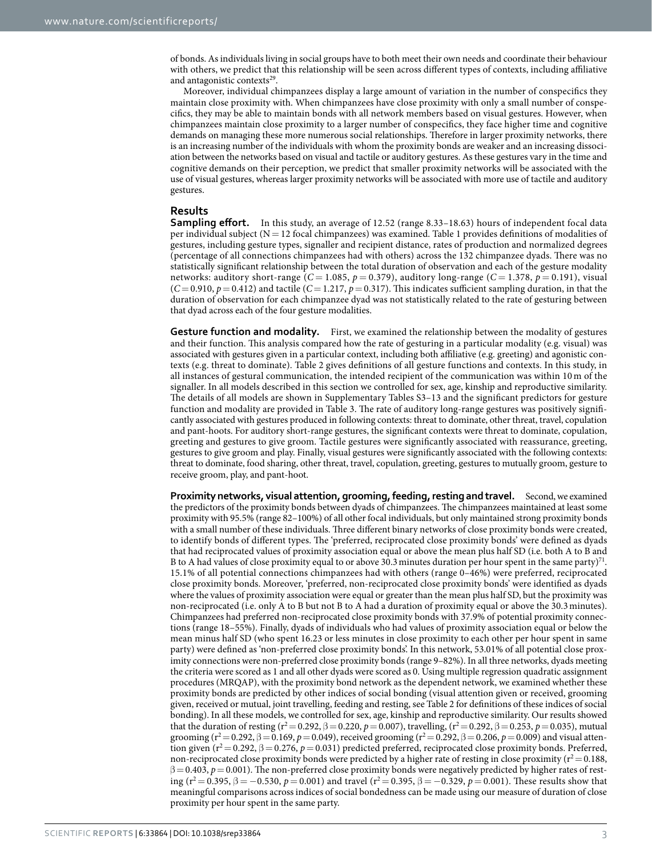of bonds. As individuals living in social groups have to both meet their own needs and coordinate their behaviour with others, we predict that this relationship will be seen across different types of contexts, including affiliative and antagonistic contexts<sup>29</sup>.

Moreover, individual chimpanzees display a large amount of variation in the number of conspecifics they maintain close proximity with. When chimpanzees have close proximity with only a small number of conspecifics, they may be able to maintain bonds with all network members based on visual gestures. However, when chimpanzees maintain close proximity to a larger number of conspecifics, they face higher time and cognitive demands on managing these more numerous social relationships. Therefore in larger proximity networks, there is an increasing number of the individuals with whom the proximity bonds are weaker and an increasing dissociation between the networks based on visual and tactile or auditory gestures. As these gestures vary in the time and cognitive demands on their perception, we predict that smaller proximity networks will be associated with the use of visual gestures, whereas larger proximity networks will be associated with more use of tactile and auditory gestures.

#### **Results**

**Sampling effort.** In this study, an average of 12.52 (range 8.33–18.63) hours of independent focal data per individual subject ( $N = 12$  focal chimpanzees) was examined. [Table 1](#page-4-0) provides definitions of modalities of gestures, including gesture types, signaller and recipient distance, rates of production and normalized degrees (percentage of all connections chimpanzees had with others) across the 132 chimpanzee dyads. There was no statistically significant relationship between the total duration of observation and each of the gesture modality networks: auditory short-range ( $C = 1.085$ ,  $p = 0.379$ ), auditory long-range ( $C = 1.378$ ,  $p = 0.191$ ), visual  $(C=0.910, p=0.412)$  and tactile  $(C=1.217, p=0.317)$ . This indicates sufficient sampling duration, in that the duration of observation for each chimpanzee dyad was not statistically related to the rate of gesturing between that dyad across each of the four gesture modalities.

**Gesture function and modality.** First, we examined the relationship between the modality of gestures and their function. This analysis compared how the rate of gesturing in a particular modality (e.g. visual) was associated with gestures given in a particular context, including both affiliative (e.g. greeting) and agonistic contexts (e.g. threat to dominate). [Table 2](#page-5-0) gives definitions of all gesture functions and contexts. In this study, in all instances of gestural communication, the intended recipient of the communication was within 10 m of the signaller. In all models described in this section we controlled for sex, age, kinship and reproductive similarity. The details of all models are shown in Supplementary Tables S3–13 and the significant predictors for gesture function and modality are provided in [Table 3.](#page-6-0) The rate of auditory long-range gestures was positively significantly associated with gestures produced in following contexts: threat to dominate, other threat, travel, copulation and pant-hoots. For auditory short-range gestures, the significant contexts were threat to dominate, copulation, greeting and gestures to give groom. Tactile gestures were significantly associated with reassurance, greeting, gestures to give groom and play. Finally, visual gestures were significantly associated with the following contexts: threat to dominate, food sharing, other threat, travel, copulation, greeting, gestures to mutually groom, gesture to receive groom, play, and pant-hoot.

**Proximity networks, visual attention, grooming, feeding, resting and travel.** Second, we examined the predictors of the proximity bonds between dyads of chimpanzees. The chimpanzees maintained at least some proximity with 95.5% (range 82–100%) of all other focal individuals, but only maintained strong proximity bonds with a small number of these individuals. Three different binary networks of close proximity bonds were created, to identify bonds of different types. The 'preferred, reciprocated close proximity bonds' were defined as dyads that had reciprocated values of proximity association equal or above the mean plus half SD (i.e. both A to B and B to A had values of close proximity equal to or above 30.3 minutes duration per hour spent in the same party)<sup>71</sup>. 15.1% of all potential connections chimpanzees had with others (range 0–46%) were preferred, reciprocated close proximity bonds. Moreover, 'preferred, non-reciprocated close proximity bonds' were identified as dyads where the values of proximity association were equal or greater than the mean plus half SD, but the proximity was non-reciprocated (i.e. only A to B but not B to A had a duration of proximity equal or above the 30.3minutes). Chimpanzees had preferred non-reciprocated close proximity bonds with 37.9% of potential proximity connections (range 18–55%). Finally, dyads of individuals who had values of proximity association equal or below the mean minus half SD (who spent 16.23 or less minutes in close proximity to each other per hour spent in same party) were defined as 'non-preferred close proximity bonds'. In this network, 53.01% of all potential close proximity connections were non-preferred close proximity bonds (range 9–82%). In all three networks, dyads meeting the criteria were scored as 1 and all other dyads were scored as 0. Using multiple regression quadratic assignment procedures (MRQAP), with the proximity bond network as the dependent network, we examined whether these proximity bonds are predicted by other indices of social bonding (visual attention given or received, grooming given, received or mutual, joint travelling, feeding and resting, see [Table 2](#page-5-0) for definitions of these indices of social bonding). In all these models, we controlled for sex, age, kinship and reproductive similarity. Our results showed that the duration of resting (r<sup>2</sup> = 0.292, β = 0.220, p = 0.007), travelling, (r<sup>2</sup> = 0.292, β = 0.253, p = 0.035), mutual grooming ( $r^2 = 0.292$ ,  $\beta = 0.169$ ,  $p = 0.049$ ), received grooming ( $r^2 = 0.292$ ,  $\beta = 0.206$ ,  $p = 0.009$ ) and visual attention given ( $r^2$  = 0.292,  $\beta$  = 0.276,  $p$  = 0.031) predicted preferred, reciprocated close proximity bonds. Preferred, non-reciprocated close proximity bonds were predicted by a higher rate of resting in close proximity ( $r^2$  = 0.188, β=0.403, *p*=0.001). The non-preferred close proximity bonds were negatively predicted by higher rates of resting ( $r^2 = 0.395$ ,  $\beta = -0.530$ ,  $p = 0.001$ ) and travel ( $r^2 = 0.395$ ,  $\beta = -0.329$ ,  $p = 0.001$ ). These results show that meaningful comparisons across indices of social bondedness can be made using our measure of duration of close proximity per hour spent in the same party.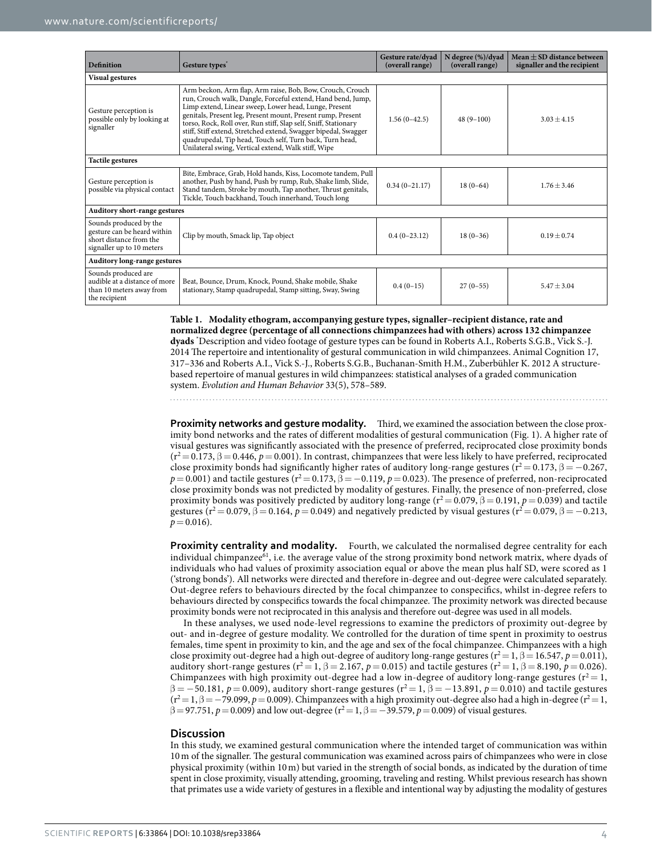<span id="page-4-0"></span>

| <b>Definition</b>                                                                                             | Gesture types <sup>*</sup>                                                                                                                                                                                                                                                                                                                                                                                                                                                                                | Gesture rate/dyad<br>(overall range) | N degree (%)/dyad<br>(overall range) | Mean $\pm$ SD distance between<br>signaller and the recipient |  |  |  |
|---------------------------------------------------------------------------------------------------------------|-----------------------------------------------------------------------------------------------------------------------------------------------------------------------------------------------------------------------------------------------------------------------------------------------------------------------------------------------------------------------------------------------------------------------------------------------------------------------------------------------------------|--------------------------------------|--------------------------------------|---------------------------------------------------------------|--|--|--|
| <b>Visual gestures</b>                                                                                        |                                                                                                                                                                                                                                                                                                                                                                                                                                                                                                           |                                      |                                      |                                                               |  |  |  |
| Gesture perception is<br>possible only by looking at<br>signaller                                             | Arm beckon, Arm flap, Arm raise, Bob, Bow, Crouch, Crouch<br>run, Crouch walk, Dangle, Forceful extend, Hand bend, Jump,<br>Limp extend, Linear sweep, Lower head, Lunge, Present<br>genitals, Present leg, Present mount, Present rump, Present<br>torso, Rock, Roll over, Run stiff, Slap self, Sniff, Stationary<br>stiff, Stiff extend, Stretched extend, Swagger bipedal, Swagger<br>quadrupedal, Tip head, Touch self, Turn back, Turn head,<br>Unilateral swing, Vertical extend, Walk stiff, Wipe | $1.56(0-42.5)$                       | $48(9-100)$                          | $3.03 + 4.15$                                                 |  |  |  |
| <b>Tactile gestures</b>                                                                                       |                                                                                                                                                                                                                                                                                                                                                                                                                                                                                                           |                                      |                                      |                                                               |  |  |  |
| Gesture perception is<br>possible via physical contact                                                        | Bite, Embrace, Grab, Hold hands, Kiss, Locomote tandem, Pull<br>another, Push by hand, Push by rump, Rub, Shake limb, Slide,<br>Stand tandem, Stroke by mouth, Tap another, Thrust genitals,<br>Tickle, Touch backhand, Touch innerhand, Touch long                                                                                                                                                                                                                                                       | $0.34(0-21.17)$                      | $18(0-64)$                           | $1.76 + 3.46$                                                 |  |  |  |
| Auditory short-range gestures                                                                                 |                                                                                                                                                                                                                                                                                                                                                                                                                                                                                                           |                                      |                                      |                                                               |  |  |  |
| Sounds produced by the<br>gesture can be heard within<br>short distance from the<br>signaller up to 10 meters | Clip by mouth, Smack lip, Tap object                                                                                                                                                                                                                                                                                                                                                                                                                                                                      | $0.4(0-23.12)$                       | $18(0-36)$                           | $0.19 + 0.74$                                                 |  |  |  |
| Auditory long-range gestures                                                                                  |                                                                                                                                                                                                                                                                                                                                                                                                                                                                                                           |                                      |                                      |                                                               |  |  |  |
| Sounds produced are<br>audible at a distance of more<br>than 10 meters away from<br>the recipient             | Beat, Bounce, Drum, Knock, Pound, Shake mobile, Shake<br>stationary, Stamp quadrupedal, Stamp sitting, Sway, Swing                                                                                                                                                                                                                                                                                                                                                                                        | $0.4(0-15)$                          | $27(0-55)$                           | $5.47 + 3.04$                                                 |  |  |  |

**Table 1. Modality ethogram, accompanying gesture types, signaller–recipient distance, rate and normalized degree (percentage of all connections chimpanzees had with others) across 132 chimpanzee dyads** \* Description and video footage of gesture types can be found in Roberts A.I., Roberts S.G.B., Vick S.-J. 2014 The repertoire and intentionality of gestural communication in wild chimpanzees. Animal Cognition 17, 317–336 and Roberts A.I., Vick S.-J., Roberts S.G.B., Buchanan-Smith H.M., Zuberbühler K. 2012 A structurebased repertoire of manual gestures in wild chimpanzees: statistical analyses of a graded communication system. *Evolution and Human Behavior* 33(5), 578–589.

**Proximity networks and gesture modality.** Third, we examined the association between the close proximity bond networks and the rates of different modalities of gestural communication ([Fig. 1\)](#page-7-0). A higher rate of visual gestures was significantly associated with the presence of preferred, reciprocated close proximity bonds  $(r^2 = 0.173, \beta = 0.446, p = 0.001)$ . In contrast, chimpanzees that were less likely to have preferred, reciprocated close proximity bonds had significantly higher rates of auditory long-range gestures ( $r^2 = 0.173$ ,  $\beta = -0.267$ ,  $p = 0.001$ ) and tactile gestures ( $r^2 = 0.173$ ,  $\beta = -0.119$ ,  $p = 0.023$ ). The presence of preferred, non-reciprocated close proximity bonds was not predicted by modality of gestures. Finally, the presence of non-preferred, close proximity bonds was positively predicted by auditory long-range ( $r^2 = 0.079$ ,  $\beta = 0.191$ ,  $p = 0.039$ ) and tactile gestures ( $r^2 = 0.079$ ,  $\beta = 0.164$ ,  $p = 0.049$ ) and negatively predicted by visual gestures ( $r^2 = 0.079$ ,  $\beta = -0.213$ ,  $p=0.016$ ).

**Proximity centrality and modality.** Fourth, we calculated the normalised degree centrality for each individual chimpanzee<sup>61</sup>, i.e. the average value of the strong proximity bond network matrix, where dyads of individuals who had values of proximity association equal or above the mean plus half SD, were scored as 1 ('strong bonds'). All networks were directed and therefore in-degree and out-degree were calculated separately. Out-degree refers to behaviours directed by the focal chimpanzee to conspecifics, whilst in-degree refers to behaviours directed by conspecifics towards the focal chimpanzee. The proximity network was directed because proximity bonds were not reciprocated in this analysis and therefore out-degree was used in all models.

In these analyses, we used node-level regressions to examine the predictors of proximity out-degree by out- and in-degree of gesture modality. We controlled for the duration of time spent in proximity to oestrus females, time spent in proximity to kin, and the age and sex of the focal chimpanzee. Chimpanzees with a high close proximity out-degree had a high out-degree of auditory long-range gestures ( $r^2 = 1$ ,  $\beta = 16.547$ ,  $p = 0.011$ ), auditory short-range gestures ( $r^2 = 1$ ,  $\beta = 2.167$ ,  $p = 0.015$ ) and tactile gestures ( $r^2 = 1$ ,  $\beta = 8.190$ ,  $p = 0.026$ ). Chimpanzees with high proximity out-degree had a low in-degree of auditory long-range gestures ( $r^2 = 1$ ,  $\beta = -50.181$ ,  $p = 0.009$ ), auditory short-range gestures ( $r^2 = 1$ ,  $\beta = -13.891$ ,  $p = 0.010$ ) and tactile gestures  $(r^2=1, \beta=-79.099, p=0.009)$ . Chimpanzees with a high proximity out-degree also had a high in-degree ( $r^2=1$ ,  $\beta = 97.751$ ,  $p = 0.009$ ) and low out-degree ( $r^2 = 1$ ,  $\beta = -39.579$ ,  $p = 0.009$ ) of visual gestures.

#### **Discussion**

In this study, we examined gestural communication where the intended target of communication was within 10m of the signaller. The gestural communication was examined across pairs of chimpanzees who were in close physical proximity (within 10m) but varied in the strength of social bonds, as indicated by the duration of time spent in close proximity, visually attending, grooming, traveling and resting. Whilst previous research has shown that primates use a wide variety of gestures in a flexible and intentional way by adjusting the modality of gestures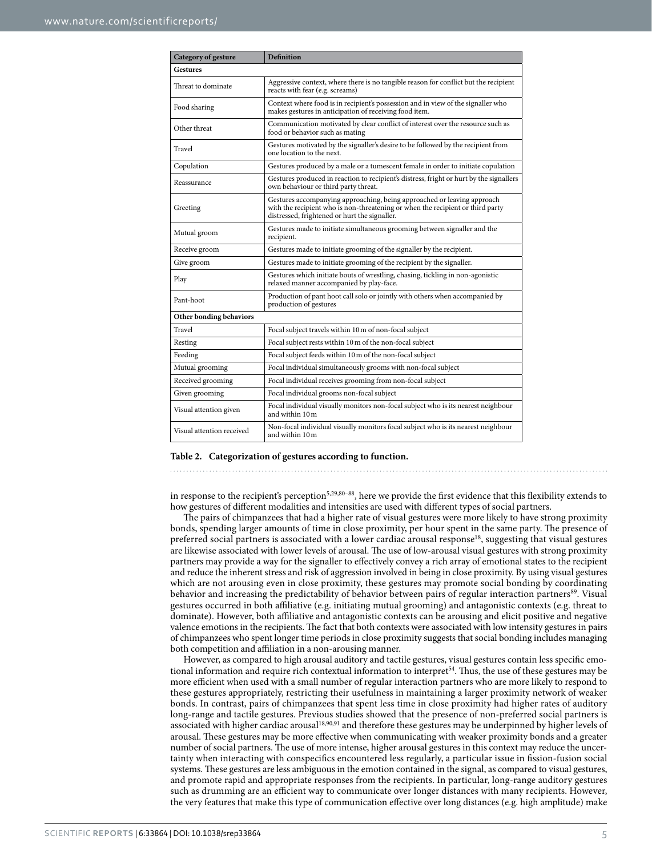<span id="page-5-0"></span>

| <b>Category of gesture</b> | <b>Definition</b>                                                                                                                                                                                          |  |  |  |  |  |
|----------------------------|------------------------------------------------------------------------------------------------------------------------------------------------------------------------------------------------------------|--|--|--|--|--|
| Gestures                   |                                                                                                                                                                                                            |  |  |  |  |  |
| Threat to dominate         | Aggressive context, where there is no tangible reason for conflict but the recipient<br>reacts with fear (e.g. screams)                                                                                    |  |  |  |  |  |
| Food sharing               | Context where food is in recipient's possession and in view of the signaller who<br>makes gestures in anticipation of receiving food item.                                                                 |  |  |  |  |  |
| Other threat               | Communication motivated by clear conflict of interest over the resource such as<br>food or behavior such as mating                                                                                         |  |  |  |  |  |
| Travel                     | Gestures motivated by the signaller's desire to be followed by the recipient from<br>one location to the next.                                                                                             |  |  |  |  |  |
| Copulation                 | Gestures produced by a male or a tumescent female in order to initiate copulation                                                                                                                          |  |  |  |  |  |
| Reassurance                | Gestures produced in reaction to recipient's distress, fright or hurt by the signallers<br>own behaviour or third party threat.                                                                            |  |  |  |  |  |
| Greeting                   | Gestures accompanying approaching, being approached or leaving approach<br>with the recipient who is non-threatening or when the recipient or third party<br>distressed, frightened or hurt the signaller. |  |  |  |  |  |
| Mutual groom               | Gestures made to initiate simultaneous grooming between signaller and the<br>recipient.                                                                                                                    |  |  |  |  |  |
| Receive groom              | Gestures made to initiate grooming of the signaller by the recipient.                                                                                                                                      |  |  |  |  |  |
| Give groom                 | Gestures made to initiate grooming of the recipient by the signaller.                                                                                                                                      |  |  |  |  |  |
| Play                       | Gestures which initiate bouts of wrestling, chasing, tickling in non-agonistic<br>relaxed manner accompanied by play-face.                                                                                 |  |  |  |  |  |
| Pant-hoot                  | Production of pant hoot call solo or jointly with others when accompanied by<br>production of gestures                                                                                                     |  |  |  |  |  |
| Other bonding behaviors    |                                                                                                                                                                                                            |  |  |  |  |  |
| Travel                     | Focal subject travels within 10 m of non-focal subject                                                                                                                                                     |  |  |  |  |  |
| Resting                    | Focal subject rests within 10 m of the non-focal subject                                                                                                                                                   |  |  |  |  |  |
| Feeding                    | Focal subject feeds within 10 m of the non-focal subject                                                                                                                                                   |  |  |  |  |  |
| Mutual grooming            | Focal individual simultaneously grooms with non-focal subject                                                                                                                                              |  |  |  |  |  |
| Received grooming          | Focal individual receives grooming from non-focal subject                                                                                                                                                  |  |  |  |  |  |
| Given grooming             | Focal individual grooms non-focal subject                                                                                                                                                                  |  |  |  |  |  |
| Visual attention given     | Focal individual visually monitors non-focal subject who is its nearest neighbour<br>and within 10 m                                                                                                       |  |  |  |  |  |
| Visual attention received  | Non-focal individual visually monitors focal subject who is its nearest neighbour<br>and within 10 m                                                                                                       |  |  |  |  |  |

#### **Table 2. Categorization of gestures according to function.**

in response to the recipient's perception<sup>5,[29](#page-10-9),80-88</sup>, here we provide the first evidence that this flexibility extends to how gestures of different modalities and intensities are used with different types of social partners.

The pairs of chimpanzees that had a higher rate of visual gestures were more likely to have strong proximity bonds, spending larger amounts of time in close proximity, per hour spent in the same party. The presence of preferred social partners is associated with a lower cardiac arousal response<sup>[18](#page-10-5)</sup>, suggesting that visual gestures are likewise associated with lower levels of arousal. The use of low-arousal visual gestures with strong proximity partners may provide a way for the signaller to effectively convey a rich array of emotional states to the recipient and reduce the inherent stress and risk of aggression involved in being in close proximity. By using visual gestures which are not arousing even in close proximity, these gestures may promote social bonding by coordinating behavior and increasing the predictability of behavior between pairs of regular interaction partners<sup>89</sup>. Visual gestures occurred in both affiliative (e.g. initiating mutual grooming) and antagonistic contexts (e.g. threat to dominate). However, both affiliative and antagonistic contexts can be arousing and elicit positive and negative valence emotions in the recipients. The fact that both contexts were associated with low intensity gestures in pairs of chimpanzees who spent longer time periods in close proximity suggests that social bonding includes managing both competition and affiliation in a non-arousing manner.

However, as compared to high arousal auditory and tactile gestures, visual gestures contain less specific emo-tional information and require rich contextual information to interpret<sup>[54](#page-11-4)</sup>. Thus, the use of these gestures may be more efficient when used with a small number of regular interaction partners who are more likely to respond to these gestures appropriately, restricting their usefulness in maintaining a larger proximity network of weaker bonds. In contrast, pairs of chimpanzees that spent less time in close proximity had higher rates of auditory long-range and tactile gestures. Previous studies showed that the presence of non-preferred social partners is associated with higher cardiac arousal<sup>18,[90,](#page-11-19)91</sup> and therefore these gestures may be underpinned by higher levels of arousal. These gestures may be more effective when communicating with weaker proximity bonds and a greater number of social partners. The use of more intense, higher arousal gestures in this context may reduce the uncertainty when interacting with conspecifics encountered less regularly, a particular issue in fission-fusion social systems. These gestures are less ambiguous in the emotion contained in the signal, as compared to visual gestures, and promote rapid and appropriate responses from the recipients. In particular, long-range auditory gestures such as drumming are an efficient way to communicate over longer distances with many recipients. However, the very features that make this type of communication effective over long distances (e.g. high amplitude) make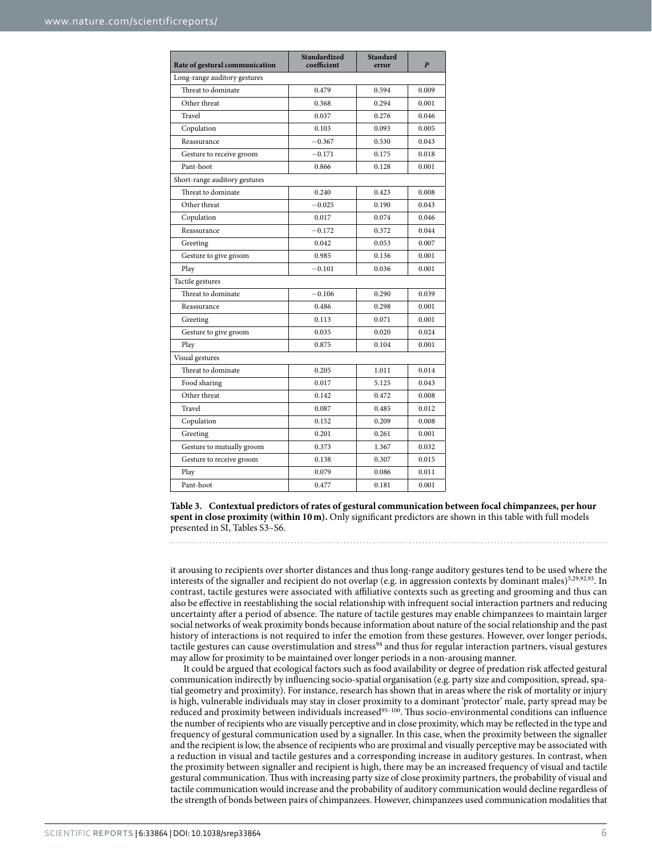<span id="page-6-0"></span>

| Rate of gestural communication | <b>Standardized</b><br>coefficient | <b>Standard</b><br>error | $\boldsymbol{P}$ |  |
|--------------------------------|------------------------------------|--------------------------|------------------|--|
| Long-range auditory gestures   |                                    |                          |                  |  |
| Threat to dominate             | 0.479                              | 0.594                    | 0.009            |  |
| Other threat                   | 0.368                              | 0.294                    | 0.001            |  |
| Travel                         | 0.037                              | 0.276                    | 0.046            |  |
| Copulation                     | 0.103                              | 0.093                    | 0.005            |  |
| Reassurance                    | $-0.367$                           | 0.530                    | 0.043            |  |
| Gesture to receive groom       | $-0.171$                           | 0.175                    | 0.018            |  |
| Pant-hoot                      | 0.866                              | 0.128                    | 0.001            |  |
| Short-range auditory gestures  |                                    |                          |                  |  |
| Threat to dominate             | 0.240                              | 0.423                    | 0.008            |  |
| Other threat                   | $-0.025$                           | 0.190                    | 0.043            |  |
| Copulation                     | 0.017                              | 0.074                    | 0.046            |  |
| Reassurance                    | $-0.172$                           | 0.372                    | 0.044            |  |
| Greeting                       | 0.042                              | 0.053                    | 0.007            |  |
| Gesture to give groom          | 0.985                              | 0.136                    | 0.001            |  |
| Play                           | $-0.101$                           | 0.036                    | 0.001            |  |
| Tactile gestures               |                                    |                          |                  |  |
| Threat to dominate             | $-0.106$                           | 0.290                    | 0.039            |  |
| Reassurance                    | 0.486                              | 0.298                    | 0.001            |  |
| Greeting                       | 0.113                              | 0.071                    | 0.001            |  |
| Gesture to give groom          | 0.035                              | 0.020                    | 0.024            |  |
| Play                           | 0.875                              | 0.104                    | 0.001            |  |
| Visual gestures                |                                    |                          |                  |  |
| Threat to dominate             | 0.205                              | 1.011                    | 0.014            |  |
| Food sharing                   | 0.017                              | 5.125                    | 0.043            |  |
| Other threat                   | 0.142                              | 0.472                    | 0.008            |  |
| Travel                         | 0.087                              | 0.485                    | 0.012            |  |
| Copulation                     | 0.152                              | 0.209                    | 0.008            |  |
| Greeting                       | 0.201                              | 0.261                    | 0.001            |  |
| Gesture to mutually groom      | 0.373                              | 1.367                    | 0.032            |  |
| Gesture to receive groom       | 0.138                              | 0.307                    | 0.015            |  |
| Play                           | 0.079                              | 0.086                    | 0.011            |  |
| Pant-hoot                      | 0.477                              | 0.181                    | 0.001            |  |

**Table 3. Contextual predictors of rates of gestural communication between focal chimpanzees, per hour spent in close proximity (within 10m).** Only significant predictors are shown in this table with full models presented in SI, Tables S3–S6.

it arousing to recipients over shorter distances and thus long-range auditory gestures tend to be used where the interests of the signaller and recipient do not overlap (e.g. in aggression contexts by dominant males)[5,](#page-10-0)[29,](#page-10-9)[92,](#page-11-21)[93.](#page-11-22) In contrast, tactile gestures were associated with affiliative contexts such as greeting and grooming and thus can also be effective in reestablishing the social relationship with infrequent social interaction partners and reducing uncertainty after a period of absence. The nature of tactile gestures may enable chimpanzees to maintain larger social networks of weak proximity bonds because information about nature of the social relationship and the past history of interactions is not required to infer the emotion from these gestures. However, over longer periods, tactile gestures can cause overstimulation and stress<sup>94</sup> and thus for regular interaction partners, visual gestures may allow for proximity to be maintained over longer periods in a non-arousing manner.

It could be argued that ecological factors such as food availability or degree of predation risk affected gestural communication indirectly by influencing socio-spatial organisation (e.g. party size and composition, spread, spatial geometry and proximity). For instance, research has shown that in areas where the risk of mortality or injury is high, vulnerable individuals may stay in closer proximity to a dominant 'protector' male, party spread may be reduced and proximity between individuals increased<sup>95-100</sup>. Thus socio-environmental conditions can influence the number of recipients who are visually perceptive and in close proximity, which may be reflected in the type and frequency of gestural communication used by a signaller. In this case, when the proximity between the signaller and the recipient is low, the absence of recipients who are proximal and visually perceptive may be associated with a reduction in visual and tactile gestures and a corresponding increase in auditory gestures. In contrast, when the proximity between signaller and recipient is high, there may be an increased frequency of visual and tactile gestural communication. Thus with increasing party size of close proximity partners, the probability of visual and tactile communication would increase and the probability of auditory communication would decline regardless of the strength of bonds between pairs of chimpanzees. However, chimpanzees used communication modalities that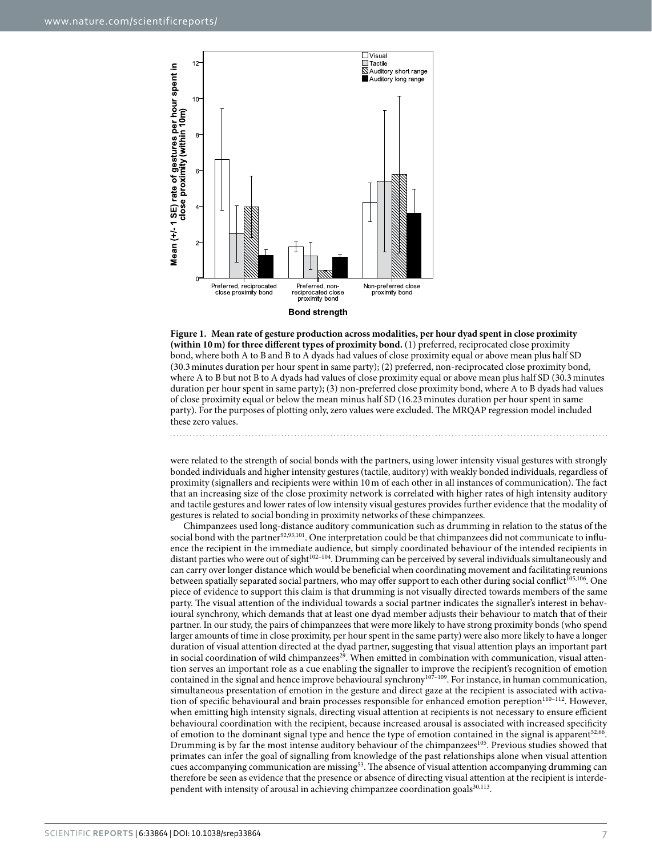

<span id="page-7-0"></span>**Figure 1. Mean rate of gesture production across modalities, per hour dyad spent in close proximity (within 10m) for three different types of proximity bond.** (1) preferred, reciprocated close proximity bond, where both A to B and B to A dyads had values of close proximity equal or above mean plus half SD (30.3minutes duration per hour spent in same party); (2) preferred, non-reciprocated close proximity bond, where A to B but not B to A dyads had values of close proximity equal or above mean plus half SD (30.3minutes duration per hour spent in same party); (3) non-preferred close proximity bond, where A to B dyads had values of close proximity equal or below the mean minus half SD (16.23minutes duration per hour spent in same party). For the purposes of plotting only, zero values were excluded. The MRQAP regression model included these zero values.

were related to the strength of social bonds with the partners, using lower intensity visual gestures with strongly bonded individuals and higher intensity gestures (tactile, auditory) with weakly bonded individuals, regardless of proximity (signallers and recipients were within 10m of each other in all instances of communication). The fact that an increasing size of the close proximity network is correlated with higher rates of high intensity auditory and tactile gestures and lower rates of low intensity visual gestures provides further evidence that the modality of gestures is related to social bonding in proximity networks of these chimpanzees.

Chimpanzees used long-distance auditory communication such as drumming in relation to the status of the social bond with the partner<sup>92[,93,](#page-11-22)101</sup>. One interpretation could be that chimpanzees did not communicate to influence the recipient in the immediate audience, but simply coordinated behaviour of the intended recipients in distant parties who were out of sight<sup>102-104</sup>. Drumming can be perceived by several individuals simultaneously and can carry over longer distance which would be beneficial when coordinating movement and facilitating reunions between spatially separated social partners, who may offer support to each other during social conflict<sup>105,[106](#page-12-3)</sup>. One piece of evidence to support this claim is that drumming is not visually directed towards members of the same party. The visual attention of the individual towards a social partner indicates the signaller's interest in behavioural synchrony, which demands that at least one dyad member adjusts their behaviour to match that of their partner. In our study, the pairs of chimpanzees that were more likely to have strong proximity bonds (who spend larger amounts of time in close proximity, per hour spent in the same party) were also more likely to have a longer duration of visual attention directed at the dyad partner, suggesting that visual attention plays an important part in social coordination of wild chimpanzees<sup>29</sup>. When emitted in combination with communication, visual attention serves an important role as a cue enabling the signaller to improve the recipient's recognition of emotion contained in the signal and hence improve behavioural synchrony<sup>107–109</sup>. For instance, in human communication, simultaneous presentation of emotion in the gesture and direct gaze at the recipient is associated with activation of specific behavioural and brain processes responsible for enhanced emotion pereption<sup>110-112</sup>. However, when emitting high intensity signals, directing visual attention at recipients is not necessary to ensure efficient behavioural coordination with the recipient, because increased arousal is associated with increased specificity of emotion to the dominant signal type and hence the type of emotion contained in the signal is apparent[52](#page-11-2),[66.](#page-11-14) Drumming is by far the most intense auditory behaviour of the chimpanzees<sup>105</sup>. Previous studies showed that primates can infer the goal of signalling from knowledge of the past relationships alone when visual attention cues accompanying communication are missing[53](#page-11-3). The absence of visual attention accompanying drumming can therefore be seen as evidence that the presence or absence of directing visual attention at the recipient is interde-pendent with intensity of arousal in achieving chimpanzee coordination goals<sup>[30,](#page-10-10)[113](#page-12-6)</sup>.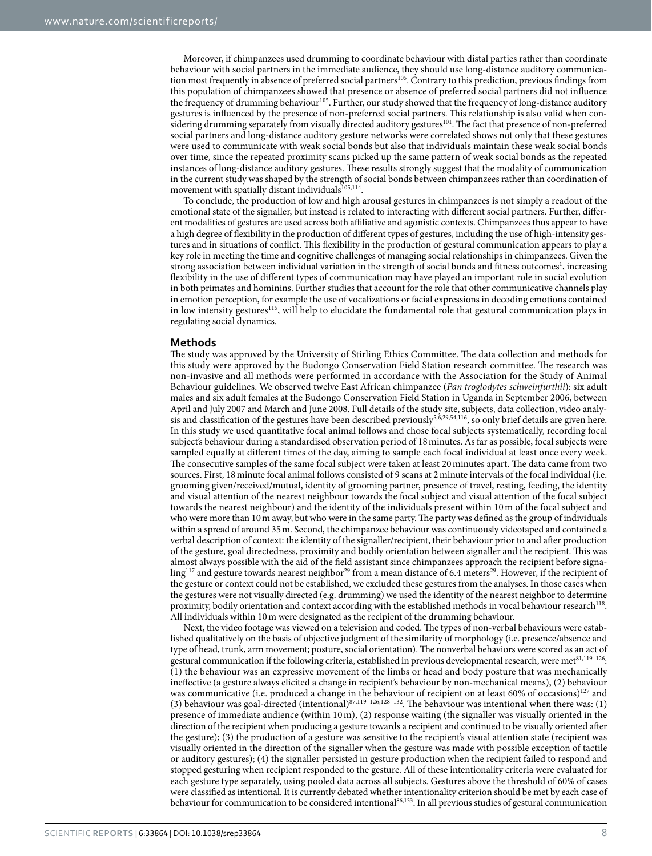Moreover, if chimpanzees used drumming to coordinate behaviour with distal parties rather than coordinate behaviour with social partners in the immediate audience, they should use long-distance auditory communication most frequently in absence of preferred social partners<sup>105</sup>. Contrary to this prediction, previous findings from this population of chimpanzees showed that presence or absence of preferred social partners did not influence the frequency of drumming behaviour<sup>[105](#page-12-2)</sup>. Further, our study showed that the frequency of long-distance auditory gestures is influenced by the presence of non-preferred social partners. This relationship is also valid when considering drumming separately from visually directed auditory gestures<sup>101</sup>. The fact that presence of non-preferred social partners and long-distance auditory gesture networks were correlated shows not only that these gestures were used to communicate with weak social bonds but also that individuals maintain these weak social bonds over time, since the repeated proximity scans picked up the same pattern of weak social bonds as the repeated instances of long-distance auditory gestures. These results strongly suggest that the modality of communication in the current study was shaped by the strength of social bonds between chimpanzees rather than coordination of movement with spatially distant individuals<sup>[105](#page-12-2),114</sup>.

To conclude, the production of low and high arousal gestures in chimpanzees is not simply a readout of the emotional state of the signaller, but instead is related to interacting with different social partners. Further, different modalities of gestures are used across both affiliative and agonistic contexts. Chimpanzees thus appear to have a high degree of flexibility in the production of different types of gestures, including the use of high-intensity gestures and in situations of conflict. This flexibility in the production of gestural communication appears to play a key role in meeting the time and cognitive challenges of managing social relationships in chimpanzees. Given the strong association between individual variation in the strength of social bonds and fitness outcomes $^1$  $^1$ , increasing flexibility in the use of different types of communication may have played an important role in social evolution in both primates and hominins. Further studies that account for the role that other communicative channels play in emotion perception, for example the use of vocalizations or facial expressions in decoding emotions contained in low intensity gestures<sup>115</sup>, will help to elucidate the fundamental role that gestural communication plays in regulating social dynamics.

#### **Methods**

The study was approved by the University of Stirling Ethics Committee. The data collection and methods for this study were approved by the Budongo Conservation Field Station research committee. The research was non-invasive and all methods were performed in accordance with the Association for the Study of Animal Behaviour guidelines. We observed twelve East African chimpanzee (*Pan troglodytes schweinfurthii*): six adult males and six adult females at the Budongo Conservation Field Station in Uganda in September 2006, between April and July 2007 and March and June 2008. Full details of the study site, subjects, data collection, video analy-sis and classification of the gestures have been described previously<sup>[5,](#page-10-0)[6](#page-10-2)[,29](#page-10-9)[,54](#page-11-4),116</sup>, so only brief details are given here. In this study we used quantitative focal animal follows and chose focal subjects systematically, recording focal subject's behaviour during a standardised observation period of 18minutes. As far as possible, focal subjects were sampled equally at different times of the day, aiming to sample each focal individual at least once every week. The consecutive samples of the same focal subject were taken at least 20minutes apart. The data came from two sources. First, 18minute focal animal follows consisted of 9 scans at 2minute intervals of the focal individual (i.e. grooming given/received/mutual, identity of grooming partner, presence of travel, resting, feeding, the identity and visual attention of the nearest neighbour towards the focal subject and visual attention of the focal subject towards the nearest neighbour) and the identity of the individuals present within 10 m of the focal subject and who were more than 10m away, but who were in the same party. The party was defined as the group of individuals within a spread of around 35m. Second, the chimpanzee behaviour was continuously videotaped and contained a verbal description of context: the identity of the signaller/recipient, their behaviour prior to and after production of the gesture, goal directedness, proximity and bodily orientation between signaller and the recipient. This was almost always possible with the aid of the field assistant since chimpanzees approach the recipient before signa- $\ln g^{117}$  and gesture towards nearest neighbor<sup>[29](#page-10-9)</sup> from a mean distance of 6.4 meters<sup>29</sup>. However, if the recipient of the gesture or context could not be established, we excluded these gestures from the analyses. In those cases when the gestures were not visually directed (e.g. drumming) we used the identity of the nearest neighbor to determine proximity, bodily orientation and context according with the established methods in vocal behaviour research<sup>118</sup>. All individuals within 10m were designated as the recipient of the drumming behaviour.

Next, the video footage was viewed on a television and coded. The types of non-verbal behaviours were established qualitatively on the basis of objective judgment of the similarity of morphology (i.e. presence/absence and type of head, trunk, arm movement; posture, social orientation). The nonverbal behaviors were scored as an act of gestural communication if the following criteria, established in previous developmental research, were met<sup>81,119-126</sup>: (1) the behaviour was an expressive movement of the limbs or head and body posture that was mechanically ineffective (a gesture always elicited a change in recipient's behaviour by non-mechanical means), (2) behaviour was communicative (i.e. produced a change in the behaviour of recipient on at least 60% of occasions)<sup>127</sup> and (3) behaviour was goal-directed (intentional)<sup>87[,119–126](#page-12-12),128–132</sup>. The behaviour was intentional when there was: (1) presence of immediate audience (within 10m), (2) response waiting (the signaller was visually oriented in the direction of the recipient when producing a gesture towards a recipient and continued to be visually oriented after the gesture); (3) the production of a gesture was sensitive to the recipient's visual attention state (recipient was visually oriented in the direction of the signaller when the gesture was made with possible exception of tactile or auditory gestures); (4) the signaller persisted in gesture production when the recipient failed to respond and stopped gesturing when recipient responded to the gesture. All of these intentionality criteria were evaluated for each gesture type separately, using pooled data across all subjects. Gestures above the threshold of 60% of cases were classified as intentional. It is currently debated whether intentionality criterion should be met by each case of behaviour for communication to be considered intentional<sup>86,[133](#page-12-15)</sup>. In all previous studies of gestural communication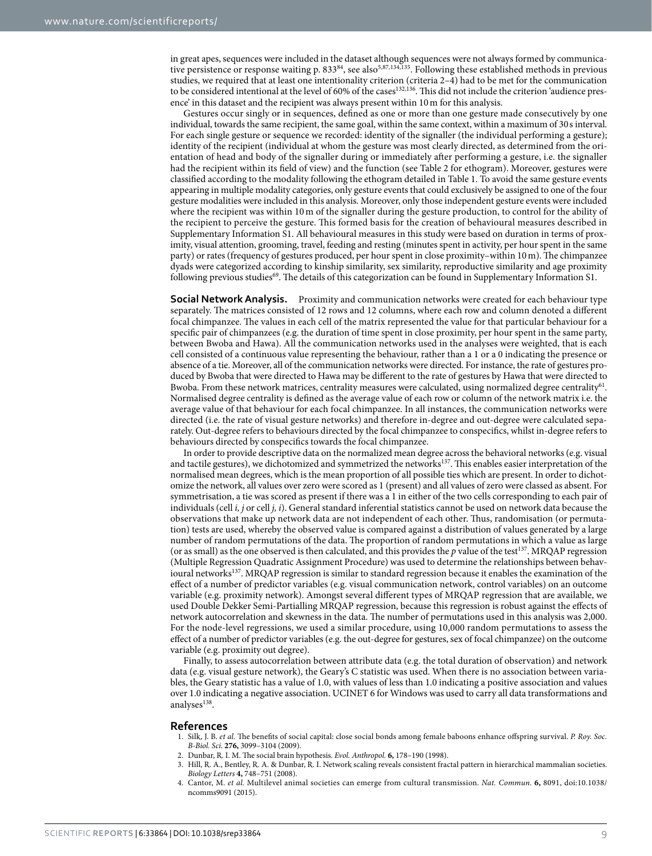in great apes, sequences were included in the dataset although sequences were not always formed by communica-tive persistence or response waiting p. 833<sup>84</sup>, see also<sup>5[,87](#page-11-26),[134](#page-12-16),135</sup>. Following these established methods in previous studies, we required that at least one intentionality criterion (criteria 2–4) had to be met for the communication to be considered intentional at the level of 60% of the cases<sup>132,136</sup>. This did not include the criterion 'audience presence' in this dataset and the recipient was always present within 10m for this analysis.

Gestures occur singly or in sequences, defined as one or more than one gesture made consecutively by one individual, towards the same recipient, the same goal, within the same context, within a maximum of 30s interval. For each single gesture or sequence we recorded: identity of the signaller (the individual performing a gesture); identity of the recipient (individual at whom the gesture was most clearly directed, as determined from the orientation of head and body of the signaller during or immediately after performing a gesture, i.e. the signaller had the recipient within its field of view) and the function (see [Table 2](#page-5-0) for ethogram). Moreover, gestures were classified according to the modality following the ethogram detailed in [Table 1](#page-4-0). To avoid the same gesture events appearing in multiple modality categories, only gesture events that could exclusively be assigned to one of the four gesture modalities were included in this analysis. Moreover, only those independent gesture events were included where the recipient was within 10 m of the signaller during the gesture production, to control for the ability of the recipient to perceive the gesture. This formed basis for the creation of behavioural measures described in Supplementary Information S1. All behavioural measures in this study were based on duration in terms of proximity, visual attention, grooming, travel, feeding and resting (minutes spent in activity, per hour spent in the same party) or rates (frequency of gestures produced, per hour spent in close proximity–within 10m). The chimpanzee dyads were categorized according to kinship similarity, sex similarity, reproductive similarity and age proximity following previous studies<sup>69</sup>. The details of this categorization can be found in Supplementary Information S1.

**Social Network Analysis.** Proximity and communication networks were created for each behaviour type separately. The matrices consisted of 12 rows and 12 columns, where each row and column denoted a different focal chimpanzee. The values in each cell of the matrix represented the value for that particular behaviour for a specific pair of chimpanzees (e.g. the duration of time spent in close proximity, per hour spent in the same party, between Bwoba and Hawa). All the communication networks used in the analyses were weighted, that is each cell consisted of a continuous value representing the behaviour, rather than a 1 or a 0 indicating the presence or absence of a tie. Moreover, all of the communication networks were directed. For instance, the rate of gestures produced by Bwoba that were directed to Hawa may be different to the rate of gestures by Hawa that were directed to Bwoba. From these network matrices, centrality measures were calculated, using normalized degree centrality<sup>61</sup>. Normalised degree centrality is defined as the average value of each row or column of the network matrix i.e. the average value of that behaviour for each focal chimpanzee. In all instances, the communication networks were directed (i.e. the rate of visual gesture networks) and therefore in-degree and out-degree were calculated separately. Out-degree refers to behaviours directed by the focal chimpanzee to conspecifics, whilst in-degree refers to behaviours directed by conspecifics towards the focal chimpanzee.

In order to provide descriptive data on the normalized mean degree across the behavioral networks (e.g. visual and tactile gestures), we dichotomized and symmetrized the networks<sup>137</sup>. This enables easier interpretation of the normalised mean degrees, which is the mean proportion of all possible ties which are present. In order to dichotomize the network, all values over zero were scored as 1 (present) and all values of zero were classed as absent. For symmetrisation, a tie was scored as present if there was a 1 in either of the two cells corresponding to each pair of individuals (cell *i, j* or cell *j, i*). General standard inferential statistics cannot be used on network data because the observations that make up network data are not independent of each other. Thus, randomisation (or permutation) tests are used, whereby the observed value is compared against a distribution of values generated by a large number of random permutations of the data. The proportion of random permutations in which a value as large (or as small) as the one observed is then calculated, and this provides the *p* value of the tes[t137.](#page-12-20) MRQAP regression (Multiple Regression Quadratic Assignment Procedure) was used to determine the relationships between behav-ioural networks<sup>[137](#page-12-20)</sup>. MRQAP regression is similar to standard regression because it enables the examination of the effect of a number of predictor variables (e.g. visual communication network, control variables) on an outcome variable (e.g. proximity network). Amongst several different types of MRQAP regression that are available, we used Double Dekker Semi-Partialling MRQAP regression, because this regression is robust against the effects of network autocorrelation and skewness in the data. The number of permutations used in this analysis was 2,000. For the node-level regressions, we used a similar procedure, using 10,000 random permutations to assess the effect of a number of predictor variables (e.g. the out-degree for gestures, sex of focal chimpanzee) on the outcome variable (e.g. proximity out degree).

Finally, to assess autocorrelation between attribute data (e.g. the total duration of observation) and network data (e.g. visual gesture network), the Geary's C statistic was used. When there is no association between variables, the Geary statistic has a value of 1.0, with values of less than 1.0 indicating a positive association and values over 1.0 indicating a negative association. UCINET 6 for Windows was used to carry all data transformations and analyses<sup>138</sup>.

#### **References**

- <span id="page-9-0"></span>1. Silk, J. B. *et al.* The benefits of social capital: close social bonds among female baboons enhance offspring survival. *P. Roy. Soc. B-Biol. Sci*. **276,** 3099–3104 (2009).
- <span id="page-9-1"></span>2. Dunbar, R. I. M. The social brain hypothesis. *Evol. Anthropol.* **6,** 178–190 (1998).
- <span id="page-9-2"></span>3. Hill, R. A., Bentley, R. A. & Dunbar, R. I. Network scaling reveals consistent fractal pattern in hierarchical mammalian societies. *Biology Letters* **4,** 748–751 (2008).
- <span id="page-9-3"></span>4. Cantor, M. *et al.* Multilevel animal societies can emerge from cultural transmission. *Nat. Commun.* **6,** 8091, doi:10.1038/ ncomms9091 (2015).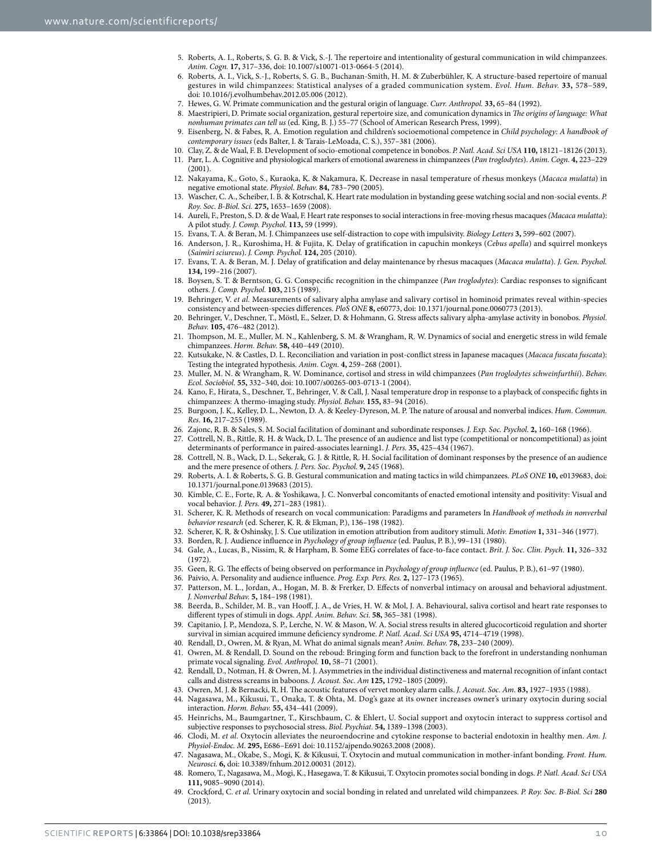- <span id="page-10-0"></span>5. Roberts, A. I., Roberts, S. G. B. & Vick, S.-J. The repertoire and intentionality of gestural communication in wild chimpanzees. *Anim. Cogn.* **17,** 317–336, doi: 10.1007/s10071-013-0664-5 (2014).
- <span id="page-10-2"></span>6. Roberts, A. I., Vick, S.-J., Roberts, S. G. B., Buchanan-Smith, H. M. & Zuberbühler, K. A structure-based repertoire of manual gestures in wild chimpanzees: Statistical analyses of a graded communication system. *Evol. Hum. Behav.* **33,** 578–589, doi: 10.1016/j.evolhumbehav.2012.05.006 (2012).
- 7. Hewes, G. W. Primate communication and the gestural origin of language. *Curr. Anthropol.* **33,** 65–84 (1992).
- <span id="page-10-1"></span>8. Maestripieri, D. Primate social organization, gestural repertoire size, and comunication dynamics in *The origins of language: What nonhuman primates can tell us* (ed. King, B. J.) 55–77 (School of American Research Press, 1999).
- <span id="page-10-3"></span>9. Eisenberg, N. & Fabes, R. A. Emotion regulation and children's socioemotional competence in *Child psychology: A handbook of contemporary issues* (eds Balter, I. & Tarais-LeMoada, C. S.), 357–381 (2006).
- 10. Clay, Z. & de Waal, F. B. Development of socio-emotional competence in bonobos. *P. Natl. Acad. Sci USA* **110,** 18121–18126 (2013).
- 11. Parr, L. A. Cognitive and physiological markers of emotional awareness in chimpanzees (*Pan troglodytes*). *Anim. Cogn.* **4,** 223–229  $(2001)$
- 12. Nakayama, K., Goto, S., Kuraoka, K. & Nakamura, K. Decrease in nasal temperature of rhesus monkeys (*Macaca mulatta*) in negative emotional state. *Physiol. Behav.* **84,** 783–790 (2005).
- <span id="page-10-12"></span>13. Wascher, C. A., Scheiber, I. B. & Kotrschal, K. Heart rate modulation in bystanding geese watching social and non-social events. *P. Roy. Soc. B-Biol. Sci.* **275,** 1653–1659 (2008).
- <span id="page-10-4"></span>14. Aureli, F., Preston, S. D. & de Waal, F. Heart rate responses to social interactions in free-moving rhesus macaques *(Macaca mulatta*): A pilot study. *J. Comp. Psychol.* **113,** 59 (1999).
- 15. Evans, T. A. & Beran, M. J. Chimpanzees use self-distraction to cope with impulsivity. *Biology Letters* **3,** 599–602 (2007).
- 16. Anderson, J. R., Kuroshima, H. & Fujita, K. Delay of gratification in capuchin monkeys (*Cebus apella*) and squirrel monkeys (*Saimiri sciureus*). *J. Comp. Psychol.* **124,** 205 (2010).
- 17. Evans, T. A. & Beran, M. J. Delay of gratification and delay maintenance by rhesus macaques (*Macaca mulatta*). *J. Gen. Psychol.* **134,** 199–216 (2007).
- <span id="page-10-5"></span>18. Boysen, S. T. & Berntson, G. G. Conspecific recognition in the chimpanzee (*Pan troglodytes*): Cardiac responses to significant others. *J. Comp. Psychol.* **103,** 215 (1989).
- <span id="page-10-6"></span>19. Behringer, V. *et al.* Measurements of salivary alpha amylase and salivary cortisol in hominoid primates reveal within-species consistency and between-species differences. *PloS ONE* **8,** e60773, doi: 10.1371/journal.pone.0060773 (2013).
- 20. Behringer, V., Deschner, T., Möstl, E., Selzer, D. & Hohmann, G. Stress affects salivary alpha-amylase activity in bonobos. *Physiol. Behav.* **105,** 476–482 (2012).
- 21. Thompson, M. E., Muller, M. N., Kahlenberg, S. M. & Wrangham, R. W. Dynamics of social and energetic stress in wild female chimpanzees. *Horm. Behav.* **58,** 440–449 (2010).
- 22. Kutsukake, N. & Castles, D. L. Reconciliation and variation in post-conflict stress in Japanese macaques (*Macaca fuscata fuscata*): Testing the integrated hypothesis. *Anim. Cogn.* **4,** 259–268 (2001).
- 23. Muller, M. N. & Wrangham, R. W. Dominance, cortisol and stress in wild chimpanzees (*Pan troglodytes schweinfurthii*). *Behav. Ecol. Sociobiol.* **55,** 332–340, doi: 10.1007/s00265-003-0713-1 (2004).
- <span id="page-10-7"></span>24. Kano, F., Hirata, S., Deschner, T., Behringer, V. & Call, J. Nasal temperature drop in response to a playback of conspecific fights in chimpanzees: A thermo-imaging study. *Physiol. Behav.* **155,** 83–94 (2016).
- <span id="page-10-8"></span>25. Burgoon, J. K., Kelley, D. L., Newton, D. A. & Keeley-Dyreson, M. P. The nature of arousal and nonverbal indices. *Hum. Commun. Res.* **16,** 217–255 (1989).
- <span id="page-10-23"></span>26. Zajonc, R. B. & Sales, S. M. Social facilitation of dominant and subordinate responses. *J. Exp. Soc. Psychol.* **2,** 160–168 (1966).
- 27. Cottrell, N. B., Rittle, R. H. & Wack, D. L. The presence of an audience and list type (competitional or noncompetitional) as joint
- determinants of performance in paired‐associates learning1. *J. Pers.* **35,** 425–434 (1967). 28. Cottrell, N. B., Wack, D. L., Sekerak, G. J. & Rittle, R. H. Social facilitation of dominant responses by the presence of an audience
- <span id="page-10-9"></span>and the mere presence of others. *J. Pers. Soc. Psychol.* **9,** 245 (1968). 29. Roberts, A. I. & Roberts, S. G. B. Gestural communication and mating tactics in wild chimpanzees. *PLoS ONE* **10,** e0139683, doi: 10.1371/journal.pone.0139683 (2015).
- <span id="page-10-10"></span>30. Kimble, C. E., Forte, R. A. & Yoshikawa, J. C. Nonverbal concomitants of enacted emotional intensity and positivity: Visual and vocal behavior. *J. Pers.* **49,** 271–283 (1981).
- 31. Scherer, K. R. Methods of research on vocal communication: Paradigms and parameters In *Handbook of methods in nonverbal behavior research* (ed. Scherer, K. R. & Ekman, P.), 136–198 (1982).
- 32. Scherer, K. R. & Oshinsky, J. S. Cue utilization in emotion attribution from auditory stimuli. *Motiv. Emotion* **1,** 331–346 (1977).
- <span id="page-10-11"></span>33. Borden, R. J. Audience influence in *Psychology of group influence* (ed. Paulus, P. B.), 99–131 (1980).
- 34. Gale, A., Lucas, B., Nissim, R. & Harpham, B. Some EEG correlates of face‐to‐face contact. *Brit. J. Soc. Clin. Psych.* **11,** 326–332 (1972).
- <span id="page-10-24"></span>35. Geen, R. G. The effects of being observed on performance in *Psychology of group influence* (ed. Paulus, P. B.), 61–97 (1980).
- 36. Paivio, A. Personality and audience influence. *Prog. Exp. Pers. Res.* **2,** 127–173 (1965).
- 37. Patterson, M. L., Jordan, A., Hogan, M. B. & Frerker, D. Effects of nonverbal intimacy on arousal and behavioral adjustment. *J. Nonverbal Behav.* **5,** 184–198 (1981).
- <span id="page-10-13"></span>38. Beerda, B., Schilder, M. B., van Hooff, J. A., de Vries, H. W. & Mol, J. A. Behavioural, saliva cortisol and heart rate responses to different types of stimuli in dogs. *Appl. Anim. Behav. Sci.* **58,** 365–381 (1998).
- <span id="page-10-14"></span>39. Capitanio, J. P., Mendoza, S. P., Lerche, N. W. & Mason, W. A. Social stress results in altered glucocorticoid regulation and shorter survival in simian acquired immune deficiency syndrome. *P. Natl. Acad. Sci USA* **95,** 4714–4719 (1998).
- <span id="page-10-15"></span>40. Rendall, D., Owren, M. & Ryan, M. What do animal signals mean? *Anim. Behav.* **78,** 233–240 (2009).
- <span id="page-10-16"></span>41. Owren, M. & Rendall, D. Sound on the reboud: Bringing form and function back to the forefront in understanding nonhuman primate vocal signaling. *Evol. Anthropol.* **10,** 58–71 (2001).
- 42. Rendall, D., Notman, H. & Owren, M. J. Asymmetries in the individual distinctiveness and maternal recognition of infant contact calls and distress screams in baboons. *J. Acoust. Soc. Am* **125,** 1792–1805 (2009).
- 43. Owren, M. J. & Bernacki, R. H. The acoustic features of vervet monkey alarm calls. *J. Acoust. Soc. Am.* **83,** 1927–1935 (1988).
- <span id="page-10-17"></span>44. Nagasawa, M., Kikusui, T., Onaka, T. & Ohta, M. Dog's gaze at its owner increases owner's urinary oxytocin during social interaction. *Horm. Behav.* **55,** 434–441 (2009).
- <span id="page-10-18"></span>45. Heinrichs, M., Baumgartner, T., Kirschbaum, C. & Ehlert, U. Social support and oxytocin interact to suppress cortisol and subjective responses to psychosocial stress. *Biol. Psychiat.* **54,** 1389–1398 (2003).
- <span id="page-10-19"></span>46. Clodi, M. *et al.* Oxytocin alleviates the neuroendocrine and cytokine response to bacterial endotoxin in healthy men. *Am. J. Physiol-Endoc. M*. **295,** E686–E691 doi: 10.1152/ajpendo.90263.2008 (2008).
- <span id="page-10-20"></span>47. Nagasawa, M., Okabe, S., Mogi, K. & Kikusui, T. Oxytocin and mutual communication in mother-infant bonding. *Front. Hum. Neurosci.* **6,** doi: 10.3389/fnhum.2012.00031 (2012).
- <span id="page-10-21"></span>48. Romero, T., Nagasawa, M., Mogi, K., Hasegawa, T. & Kikusui, T. Oxytocin promotes social bonding in dogs. *P. Natl. Acad. Sci USA* **111,** 9085–9090 (2014).
- <span id="page-10-22"></span>49. Crockford, C. *et al.* Urinary oxytocin and social bonding in related and unrelated wild chimpanzees. *P. Roy. Soc. B-Biol. Sci* **280** (2013).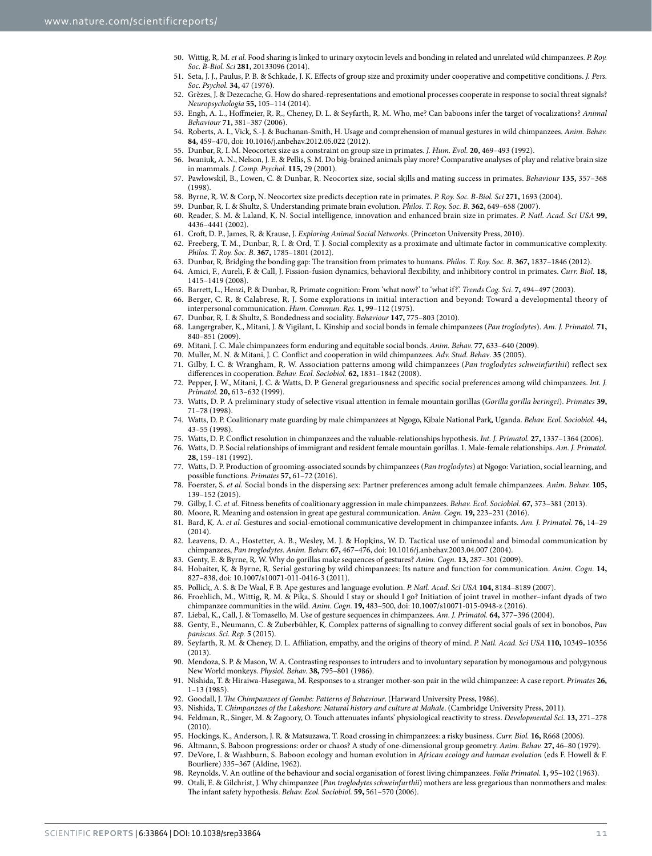- <span id="page-11-0"></span>50. Wittig, R. M. *et al.* Food sharing is linked to urinary oxytocin levels and bonding in related and unrelated wild chimpanzees. *P. Roy. Soc. B-Biol. Sci* **281,** 20133096 (2014).
- <span id="page-11-1"></span>51. Seta, J. J., Paulus, P. B. & Schkade, J. K. Effects of group size and proximity under cooperative and competitive conditions. *J. Pers. Soc. Psychol.* **34,** 47 (1976).
- <span id="page-11-2"></span>52. Grèzes, J. & Dezecache, G. How do shared-representations and emotional processes cooperate in response to social threat signals? *Neuropsychologia* **55,** 105–114 (2014).
- <span id="page-11-3"></span>53. Engh, A. L., Hoffmeier, R. R., Cheney, D. L. & Seyfarth, R. M. Who, me? Can baboons infer the target of vocalizations? *Animal Behaviour* **71,** 381–387 (2006).
- <span id="page-11-4"></span>54. Roberts, A. I., Vick, S.-J. & Buchanan-Smith, H. Usage and comprehension of manual gestures in wild chimpanzees. *Anim. Behav.* **84,** 459–470, doi: 10.1016/j.anbehav.2012.05.022 (2012).
- <span id="page-11-5"></span>55. Dunbar, R. I. M. Neocortex size as a constraint on group size in primates. *J. Hum. Evol.* **20,** 469–493 (1992).
- <span id="page-11-6"></span>56. Iwaniuk, A. N., Nelson, J. E. & Pellis, S. M. Do big-brained animals play more? Comparative analyses of play and relative brain size in mammals. *J. Comp. Psychol.* **115,** 29 (2001).
- <span id="page-11-7"></span>57. Pawłowskil, B., Lowen, C. & Dunbar, R. Neocortex size, social skills and mating success in primates. *Behaviour* **135,** 357–368 (1998).
- <span id="page-11-8"></span>58. Byrne, R. W. & Corp, N. Neocortex size predicts deception rate in primates. *P. Roy. Soc. B-Biol. Sci* **271,** 1693 (2004).
- <span id="page-11-10"></span><span id="page-11-9"></span>59. Dunbar, R. I. & Shultz, S. Understanding primate brain evolution. *Philos. T. Roy. Soc. B*. **362,** 649–658 (2007).
- 60. Reader, S. M. & Laland, K. N. Social intelligence, innovation and enhanced brain size in primates. *P. Natl. Acad. Sci USA* **99,** 4436–4441 (2002).
- <span id="page-11-11"></span>61. Croft, D. P., James, R. & Krause, J. *Exploring Animal Social Networks*. (Princeton University Press, 2010).
- 62. Freeberg, T. M., Dunbar, R. I. & Ord, T. J. Social complexity as a proximate and ultimate factor in communicative complexity. *Philos. T. Roy. Soc. B*. **367,** 1785–1801 (2012).
- 63. Dunbar, R. Bridging the bonding gap: The transition from primates to humans. *Philos. T. Roy. Soc. B*. **367,** 1837–1846 (2012).
- <span id="page-11-12"></span>64. Amici, F., Aureli, F. & Call, J. Fission-fusion dynamics, behavioral flexibility, and inhibitory control in primates. *Curr. Biol.* **18,** 1415–1419 (2008).
- <span id="page-11-13"></span>65. Barrett, L., Henzi, P. & Dunbar, R. Primate cognition: From 'what now?' to 'what if?'. *Trends Cog. Sci*. **7,** 494–497 (2003).
- <span id="page-11-14"></span>66. Berger, C. R. & Calabrese, R. J. Some explorations in initial interaction and beyond: Toward a developmental theory of interpersonal communication. *Hum. Commun. Res.* **1,** 99–112 (1975).
- <span id="page-11-15"></span>67. Dunbar, R. I. & Shultz, S. Bondedness and sociality. *Behaviour* **147,** 775–803 (2010).
- 68. Langergraber, K., Mitani, J. & Vigilant, L. Kinship and social bonds in female chimpanzees (*Pan troglodytes*). *Am. J. Primatol.* **71,** 840–851 (2009).
- <span id="page-11-29"></span>69. Mitani, J. C. Male chimpanzees form enduring and equitable social bonds. *Anim. Behav.* **77,** 633–640 (2009).
- 70. Muller, M. N. & Mitani, J. C. Conflict and cooperation in wild chimpanzees. *Adv. Stud. Behav*. **35** (2005).
- <span id="page-11-16"></span>71. Gilby, I. C. & Wrangham, R. W. Association patterns among wild chimpanzees (*Pan troglodytes schweinfurthii*) reflect sex differences in cooperation. *Behav. Ecol. Sociobiol.* **62,** 1831–1842 (2008).
- 72. Pepper, J. W., Mitani, J. C. & Watts, D. P. General gregariousness and specific social preferences among wild chimpanzees. *Int. J. Primatol.* **20,** 613–632 (1999).
- 73. Watts, D. P. A preliminary study of selective visual attention in female mountain gorillas (*Gorilla gorilla beringei*). *Primates* **39,** 71–78 (1998).
- 74. Watts, D. P. Coalitionary mate guarding by male chimpanzees at Ngogo, Kibale National Park, Uganda. *Behav. Ecol. Sociobiol.* **44,** 43–55 (1998).
- 75. Watts, D. P. Conflict resolution in chimpanzees and the valuable-relationships hypothesis. *Int. J. Primatol.* **27,** 1337–1364 (2006).
- 76. Watts, D. P. Social relationships of immigrant and resident female mountain gorillas. 1. Male‐female relationships. *Am. J. Primatol.* **28,** 159–181 (1992).
- 77. Watts, D. P. Production of grooming-associated sounds by chimpanzees (*Pan troglodytes*) at Ngogo: Variation, social learning, and possible functions. *Primates* **57,** 61–72 (2016).
- 78. Foerster, S. *et al.* Social bonds in the dispersing sex: Partner preferences among adult female chimpanzees. *Anim. Behav.* **105,** 139–152 (2015).
- 79. Gilby, I. C. *et al.* Fitness benefits of coalitionary aggression in male chimpanzees. *Behav. Ecol. Sociobiol.* **67,** 373–381 (2013).
- <span id="page-11-17"></span>80. Moore, R. Meaning and ostension in great ape gestural communication. *Anim. Cogn.* **19,** 223–231 (2016).
- <span id="page-11-25"></span>81. Bard, K. A. *et al.* Gestures and social‐emotional communicative development in chimpanzee infants. *Am. J. Primatol.* **76,** 14–29 (2014).
- 82. Leavens, D. A., Hostetter, A. B., Wesley, M. J. & Hopkins, W. D. Tactical use of unimodal and bimodal communication by chimpanzees, *Pan troglodytes*. *Anim. Behav.* **67,** 467–476, doi: 10.1016/j.anbehav.2003.04.007 (2004).
- 83. Genty, E. & Byrne, R. W. Why do gorillas make sequences of gestures? *Anim. Cogn.* **13,** 287–301 (2009).
- <span id="page-11-28"></span>84. Hobaiter, K. & Byrne, R. Serial gesturing by wild chimpanzees: Its nature and function for communication. *Anim. Cogn.* **14,** 827–838, doi: 10.1007/s10071-011-0416-3 (2011).
- 85. Pollick, A. S. & De Waal, F. B. Ape gestures and language evolution. *P. Natl. Acad. Sci USA* **104,** 8184–8189 (2007).
- <span id="page-11-27"></span>86. Froehlich, M., Wittig, R. M. & Pika, S. Should I stay or should I go? Initiation of joint travel in mother–infant dyads of two chimpanzee communities in the wild. *Anim. Cogn.* **19,** 483–500, doi: 10.1007/s10071-015-0948-z (2016).
- <span id="page-11-26"></span>87. Liebal, K., Call, J. & Tomasello, M. Use of gesture sequences in chimpanzees. *Am. J. Primatol.* **64,** 377–396 (2004).
- 88. Genty, E., Neumann, C. & Zuberbühler, K. Complex patterns of signalling to convey different social goals of sex in bonobos, *Pan paniscus*. *Sci. Rep.* **5** (2015).
- <span id="page-11-18"></span>89. Seyfarth, R. M. & Cheney, D. L. Affiliation, empathy, and the origins of theory of mind. *P. Natl. Acad. Sci USA* **110,** 10349–10356 (2013).
- <span id="page-11-19"></span>90. Mendoza, S. P. & Mason, W. A. Contrasting responses to intruders and to involuntary separation by monogamous and polygynous New World monkeys. *Physiol. Behav.* **38,** 795–801 (1986).
- <span id="page-11-20"></span>91. Nishida, T. & Hiraiwa-Hasegawa, M. Responses to a stranger mother-son pair in the wild chimpanzee: A case report. *Primates* **26,** 1–13 (1985).
- <span id="page-11-22"></span><span id="page-11-21"></span>92. Goodall, J. *The Chimpanzees of Gombe: Patterns of Behaviour*. (Harward University Press, 1986).
- 93. Nishida, T. *Chimpanzees of the Lakeshore: Natural history and culture at Mahale*. (Cambridge University Press, 2011).
- <span id="page-11-23"></span>94. Feldman, R., Singer, M. & Zagoory, O. Touch attenuates infants' physiological reactivity to stress. *Developmental Sci.* **13,** 271–278 (2010).
- <span id="page-11-24"></span>95. Hockings, K., Anderson, J. R. & Matsuzawa, T. Road crossing in chimpanzees: a risky business. *Curr. Biol.* **16,** R668 (2006).
- 96. Altmann, S. Baboon progressions: order or chaos? A study of one-dimensional group geometry. *Anim. Behav.* **27,** 46–80 (1979).
- 97. DeVore, I. & Washburn, S. Baboon ecology and human evolution in *African ecology and human evolution* (eds F. Howell & F. Bourliere) 335–367 (Aldine, 1962).
- 98. Reynolds, V. An outline of the behaviour and social organisation of forest living chimpanzees. *Folia Primatol*. **1,** 95–102 (1963).
- 99. Otali, E. & Gilchrist, J. Why chimpanzee (*Pan troglodytes schweinfurthii*) mothers are less gregarious than nonmothers and males: The infant safety hypothesis. *Behav. Ecol. Sociobiol.* **59,** 561–570 (2006).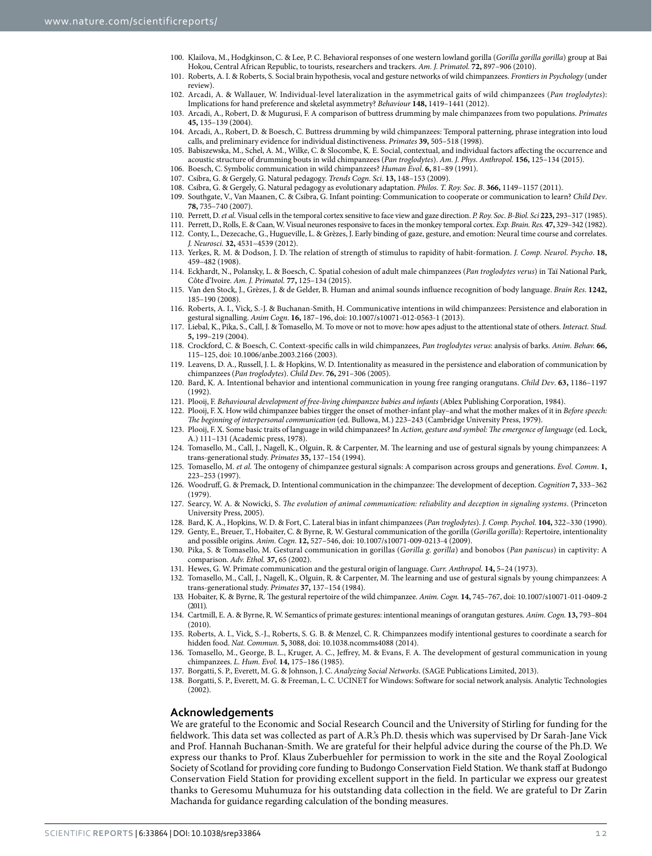- 100. Klailova, M., Hodgkinson, C. & Lee, P. C. Behavioral responses of one western lowland gorilla (*Gorilla gorilla gorilla*) group at Bai Hokou, Central African Republic, to tourists, researchers and trackers. *Am. J. Primatol.* **72,** 897–906 (2010).
- <span id="page-12-0"></span>101. Roberts, A. I. & Roberts, S. Social brain hypothesis, vocal and gesture networks of wild chimpanzees. *Frontiers in Psychology* (under review).
- <span id="page-12-1"></span>102. Arcadi, A. & Wallauer, W. Individual-level lateralization in the asymmetrical gaits of wild chimpanzees (*Pan troglodytes*): Implications for hand preference and skeletal asymmetry? *Behaviour* **148,** 1419–1441 (2012).
- 103. Arcadi, A., Robert, D. & Mugurusi, F. A comparison of buttress drumming by male chimpanzees from two populations. *Primates* **45,** 135–139 (2004).
- 104. Arcadi, A., Robert, D. & Boesch, C. Buttress drumming by wild chimpanzees: Temporal patterning, phrase integration into loud calls, and preliminary evidence for individual distinctiveness. *Primates* **39,** 505–518 (1998).
- <span id="page-12-2"></span>105. Babiszewska, M., Schel, A. M., Wilke, C. & Slocombe, K. E. Social, contextual, and individual factors affecting the occurrence and acoustic structure of drumming bouts in wild chimpanzees (*Pan troglodytes*). *Am. J. Phys. Anthropol.* **156,** 125–134 (2015).
- <span id="page-12-3"></span>106. Boesch, C. Symbolic communication in wild chimpanzees? *Human Evol*. **6,** 81–89 (1991).
- <span id="page-12-4"></span>107. Csibra, G. & Gergely, G. Natural pedagogy. *Trends Cogn. Sci.* **13,** 148–153 (2009).
- 108. Csibra, G. & Gergely, G. Natural pedagogy as evolutionary adaptation. *Philos. T. Roy. Soc. B*. **366,** 1149–1157 (2011).
- 109. Southgate, V., Van Maanen, C. & Csibra, G. Infant pointing: Communication to cooperate or communication to learn? *Child Dev*. **78,** 735–740 (2007).
- <span id="page-12-5"></span>110. Perrett, D. *et al.* Visual cells in the temporal cortex sensitive to face view and gaze direction. *P. Roy. Soc. B-Biol. Sci* **223,** 293–317 (1985).
- 111. Perrett, D., Rolls, E. & Caan, W. Visual neurones responsive to faces in the monkey temporal cortex. *Exp. Brain. Res.* **47,** 329–342 (1982). 112. Conty, L., Dezecache, G., Hugueville, L. & Grèzes, J. Early binding of gaze, gesture, and emotion: Neural time course and correlates.
- *J. Neurosci.* **32,** 4531–4539 (2012). 113. Yerkes, R. M. & Dodson, J. D. The relation of strength of stimulus to rapidity of habit‐formation. *J. Comp. Neurol. Psycho*. **18,**
- <span id="page-12-6"></span>459–482 (1908).
- <span id="page-12-7"></span>114. Eckhardt, N., Polansky, L. & Boesch, C. Spatial cohesion of adult male chimpanzees (*Pan troglodytes verus*) in Taï National Park, Côte d'Ivoire. *Am. J. Primatol.* **77,** 125–134 (2015).
- <span id="page-12-8"></span>115. Van den Stock, J., Grèzes, J. & de Gelder, B. Human and animal sounds influence recognition of body language. *Brain Res*. **1242,** 185–190 (2008).
- <span id="page-12-9"></span>116. Roberts, A. I., Vick, S.-J. & Buchanan-Smith, H. Communicative intentions in wild chimpanzees: Persistence and elaboration in gestural signalling. *Anim Cogn*. **16,** 187–196, doi: 10.1007/s10071-012-0563-1 (2013).
- <span id="page-12-10"></span>117. Liebal, K., Pika, S., Call, J. & Tomasello, M. To move or not to move: how apes adjust to the attentional state of others. *Interact. Stud.* **5,** 199–219 (2004).
- <span id="page-12-11"></span>118. Crockford, C. & Boesch, C. Context-specific calls in wild chimpanzees, *Pan troglodytes verus*: analysis of barks. *Anim. Behav.* **66,** 115–125, doi: 10.1006/anbe.2003.2166 (2003).
- <span id="page-12-12"></span>119. Leavens, D. A., Russell, J. L. & Hopkins, W. D. Intentionality as measured in the persistence and elaboration of communication by chimpanzees (*Pan troglodytes*). *Child Dev*. **76,** 291–306 (2005).
- 120. Bard, K. A. Intentional behavior and intentional communication in young free ranging orangutans. *Child Dev*. **63,** 1186–1197 (1992).
- 121. Plooij, F. *Behavioural development of free-living chimpanzee babies and infants* (Ablex Publishing Corporation, 1984).
- 122. Plooij, F. X. How wild chimpanzee babies tirgger the onset of mother-infant play–and what the mother makes of it in *Before speech: The beginning of interpersonal communication* (ed. Bullowa, M.) 223–243 (Cambridge University Press, 1979).
- 123. Plooij, F. X. Some basic traits of language in wild chimpanzees? In *Action, gesture and symbol: The emergence of language* (ed. Lock, A.) 111–131 (Academic press, 1978).
- 124. Tomasello, M., Call, J., Nagell, K., Olguin, R. & Carpenter, M. The learning and use of gestural signals by young chimpanzees: A trans-generational study. *Primates* **35,** 137–154 (1994).
- 125. Tomasello, M. *et al.* The ontogeny of chimpanzee gestural signals: A comparison across groups and generations. *Evol. Comm*. **1,** 223–253 (1997).
- 126. Woodruff, G. & Premack, D. Intentional communication in the chimpanzee: The development of deception. *Cognition* **7,** 333–362 (1979).
- <span id="page-12-13"></span>127. Searcy, W. A. & Nowicki, S. *The evolution of animal communication: reliability and deception in signaling systems*. (Princeton University Press, 2005).
- <span id="page-12-14"></span>128. Bard, K. A., Hopkins, W. D. & Fort, C. Lateral bias in infant chimpanzees (*Pan troglodytes*). *J. Comp. Psychol.* **104,** 322–330 (1990).
- 129. Genty, E., Breuer, T., Hobaiter, C. & Byrne, R. W. Gestural communication of the gorilla (*Gorilla gorilla*): Repertoire, intentionality and possible origins. *Anim. Cogn.* **12,** 527–546, doi: 10.1007/s10071-009-0213-4 (2009).
- 130. Pika, S. & Tomasello, M. Gestural communication in gorillas (*Gorilla g. gorilla*) and bonobos (*Pan paniscus*) in captivity: A comparison. *Adv. Ethol.* **37,** 65 (2002).
- 131. Hewes, G. W. Primate communication and the gestural origin of language. *Curr. Anthropol.* **14,** 5–24 (1973).
- <span id="page-12-18"></span>132. Tomasello, M., Call, J., Nagell, K., Olguin, R. & Carpenter, M. The learning and use of gestural signals by young chimpanzees: A trans-generational study. *Primates* **37,** 137–154 (1984).
- <span id="page-12-15"></span>133. Hobaiter, K. & Byrne, R. The gestural repertoire of the wild chimpanzee. *Anim. Cogn.* **14,** 745–767, doi: 10.1007/s10071-011-0409-2 (2011).
- <span id="page-12-16"></span>134. Cartmill, E. A. & Byrne, R. W. Semantics of primate gestures: intentional meanings of orangutan gestures. *Anim. Cogn.* **13,** 793–804 (2010).
- <span id="page-12-17"></span>135. Roberts, A. I., Vick, S.-J., Roberts, S. G. B. & Menzel, C. R. Chimpanzees modify intentional gestures to coordinate a search for hidden food. *Nat. Commun.* **5,** 3088, doi: 10.1038.ncomms4088 (2014).
- <span id="page-12-19"></span>136. Tomasello, M., George, B. L., Kruger, A. C., Jeffrey, M. & Evans, F. A. The development of gestural communication in young chimpanzees. *L. Hum. Evol.* **14,** 175–186 (1985).
- <span id="page-12-21"></span><span id="page-12-20"></span>137. Borgatti, S. P., Everett, M. G. & Johnson, J. C. *Analyzing Social Networks*. (SAGE Publications Limited, 2013).
- 138. Borgatti, S. P., Everett, M. G. & Freeman, L. C. UCINET for Windows: Software for social network analysis. Analytic Technologies (2002).

#### **Acknowledgements**

We are grateful to the Economic and Social Research Council and the University of Stirling for funding for the fieldwork. This data set was collected as part of A.R.'s Ph.D. thesis which was supervised by Dr Sarah-Jane Vick and Prof. Hannah Buchanan-Smith. We are grateful for their helpful advice during the course of the Ph.D. We express our thanks to Prof. Klaus Zuberbuehler for permission to work in the site and the Royal Zoological Society of Scotland for providing core funding to Budongo Conservation Field Station. We thank staff at Budongo Conservation Field Station for providing excellent support in the field. In particular we express our greatest thanks to Geresomu Muhumuza for his outstanding data collection in the field. We are grateful to Dr Zarin Machanda for guidance regarding calculation of the bonding measures.